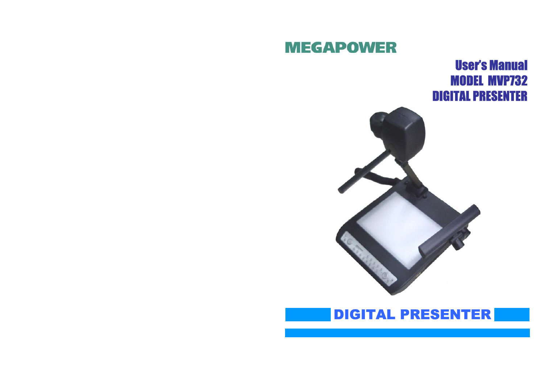# **MEGAPOWER**

User's Manual MODEL MVP732 DIGITAL PRESENTER



# DIGITAL PRESENTER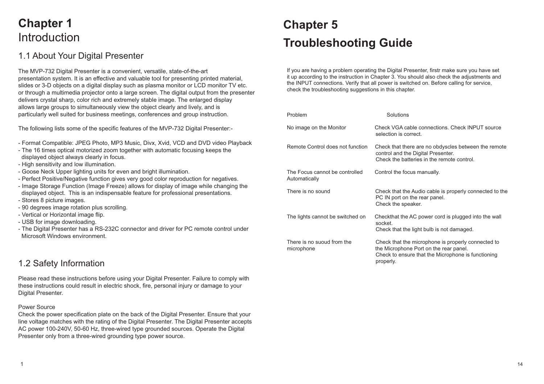# **Chapter 1** Introduction

## 1.1 About Your Digital Presenter

The MVP-732 Digital Presenter is a convenient, versatile, state-of-the-art presentation system. It is an effective and valuable tool for presenting printed material, slides or 3-D objects on a digital display such as plasma monitor or LCD monitor TV etc. or through a multimedia projector onto a large screen. The digital output from the presenter delivers crystal sharp, color rich and extremely stable image. The enlarged display allows large groups to simultaneously view the object clearly and lively, and is particularly well suited for business meetings, conferences and group instruction.

The following lists some of the specific features of the MVP-732 Digital Presenter:-

- Format Compatible: JPEG Photo, MP3 Music, Divx, Xvid, VCD and DVD video Playback
- The 16 times optical motorized zoom together with automatic focusing keeps the displayed object always clearly in focus.
- High sensitivity and low illumination.
- Goose Neck Upper lighting units for even and bright illumination.
- Perfect Positive/Negative function gives very good color reproduction for negatives.
- Image Storage Function (Image Freeze) allows for display of image while changing the displayed object. This is an indispensable feature for professional presentations.
- Stores 8 picture images.
- 90 degrees image rotation plus scrolling.
- Vertical or Horizontal image flip.
- USB for image downloading.
- The Digital Presenter has a RS-232C connector and driver for PC remote control under Microsoft Windows environment.

## 1.2 Safety Information

Please read these instructions before using your Digital Presenter. Failure to comply with these instructions could result in electric shock, fire, personal injury or damage to your Digital Presenter.

#### Power Source

Check the power specification plate on the back of the Digital Presenter. Ensure that your line voltage matches with the rating of the Digital Presenter. The Digital Presenter accepts AC power 100-240V, 50-60 Hz, three-wired type grounded sources. Operate the Digital Presenter only from a three-wired grounding type power source.

# **Chapter 5 Troubleshooting Guide**

If you are having a problem operating the Digital Presenter, firstr make sure you have set it up according to the instruction in Chapter 3. You should also check the adjustments and the INPUT connections. Verify that all power is switched on. Before calling for service, check the troubleshooting suggestions in this chapter.

| Problem                                         | Solutions                                                                                                                                                       |
|-------------------------------------------------|-----------------------------------------------------------------------------------------------------------------------------------------------------------------|
| No image on the Monitor                         | Check VGA cable connections. Check INPUT source<br>selection is correct.                                                                                        |
| Remote Control does not function                | Check that there are no obdyscles between the remote<br>control and the Digital Presenter.<br>Check the batteries in the remote control.                        |
| The Focus cannot be controlled<br>Automatically | Control the focus manually.                                                                                                                                     |
| There is no sound                               | Check that the Audio cable is properly connected to the<br>PC IN port on the rear panel.<br>Check the speaker.                                                  |
| The lights cannot be switched on                | Checkthat the AC power cord is plugged into the wall<br>socket.<br>Check that the light bulb is not damaged.                                                    |
| There is no suoud from the<br>microphone        | Check that the microphone is properly connected to<br>the Microphone Port on the rear panel.<br>Check to ensure that the Microphone is functioning<br>properly. |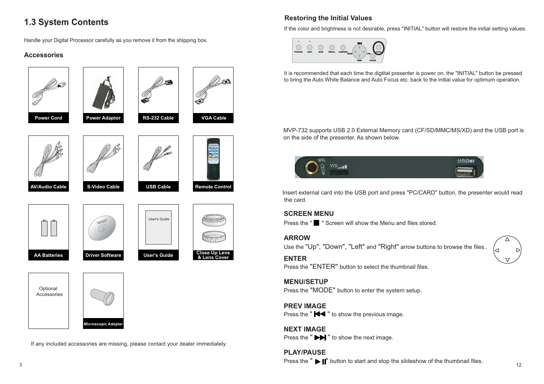# **1.3 System Contents**

Handle your Digital Processor carefully as you remove it from the shipping box.

## **Accessories**



If any included accessories are missing, please contact your dealer immediately.

## **Restoring the Initial Values**

If the color and brightness is not desirable, press "INITIAL" button will restore the initial setting values.



It is recommended that each time the digtital presenter is power on, the "INITIAL" button be pressed to bring the Auto White Balance and Auto Focus etc. back to the initial value for optimum operation.

MVP-732 supports USB 2.0 External Memory card (CF/SD/MMC/MS/XD) and the USB port is on the side of the presenter. As shown below.



Insert external card into the USB port and press "PC/CARD" button, the presenter would read the card.

### **SCREEN MENU**

Press the " " Screen will show the Menu and files stored.

### **ARROW**

**Remote Control**

**Close Up Lens & Lens Cover**

Use the "Up", "Down", "Left" and "Right" arrow buttons to browse the files..

### **ENTER**

Press the "ENTER" button to select the thumbnail files.

### **MENU/SETUP**

Press the "MODE" button to enter the system setup.

### **PREV IMAGE**

Press the " $\blacktriangleleft$ " to show the previous image.

## **NEXT IMAGE**

Press the " $\blacktriangleright$ " to show the next image.

**PLAY/PAUSE**Press the " $\blacktriangleright$   $\blacktriangleright$  " button to start and stop the slideshow of the thumbnail files.

3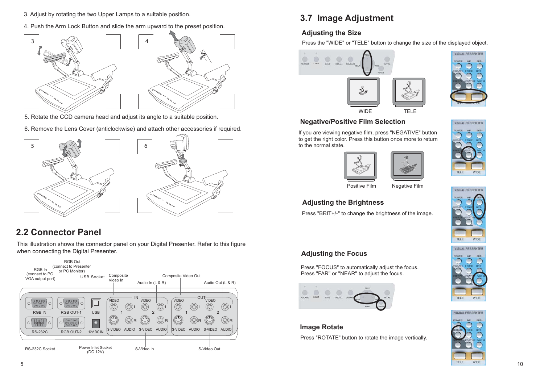- 3. Adjust by rotating the two Upper Lamps to a suitable position.
- 4. Push the Arm Lock Button and slide the arm upward to the preset position.



- 5. Rotate the CCD camera head and adjust its angle to a suitable position.
- 6. Remove the Lens Cover (anticlockwise) and attach other accessories if required.



# **2.2 Connector Panel**

This illustration shows the connector panel on your Digital Presenter. Refer to this figure when connecting the Digital Presenter.



# **3.7 Image Adjustment**

## **Adjusting the Size**

Press the "WIDE" or "TELE" button to change the size of the displayed object.





VISUAL PRESENTER

### **Negative/Positive Film Selection**

If you are viewing negative film, press "NEGATIVE" button to get the right color. Press this button once more to return to the normal state.







Positive Film Negative Film

## **Adjusting the Brightness**

Press "BRIT+/-" to change the brightness of the image.



TELE

### **Adjusting the Focus**

Press "FOCUS" to automatically adjust the focus. Press "FAR" or "NEAR" to adjust the focus.



## **Image Rotate**

Press "ROTATE" button to rotate the image vertically.





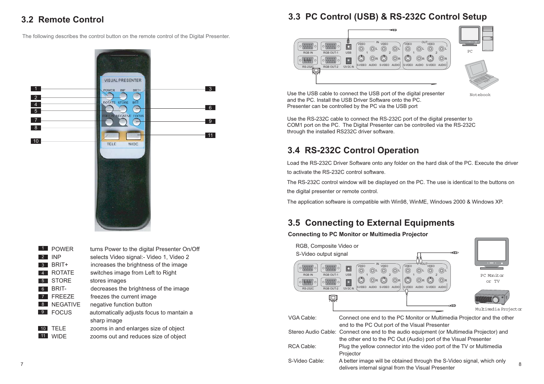## **3.2 Remote Control**

The following describes the control button on the remote control of the Digital Presenter.



| $\mathbf{1}$    | <b>POWER</b>    | turns Power to the digital Presenter On/Off |
|-----------------|-----------------|---------------------------------------------|
| 2               | INP             | selects Video signal:- Video 1, Video 2     |
| 3               | BRIT+           | increases the brightness of the image       |
| 4               | <b>ROTATE</b>   | switches image from Left to Right           |
| 5               | <b>STORE</b>    | stores images                               |
| 6               | BRIT-           | decreases the brightness of the image       |
|                 | <b>FREEZF</b>   | freezes the current image                   |
| 8 <sup>1</sup>  | <b>NEGATIVE</b> | negative function button                    |
| -9              | FOCUS           | automatically adjusts focus to mantain a    |
|                 |                 | sharp image                                 |
| 10 <sup>1</sup> | <b>TELE</b>     | zooms in and enlarges size of object        |
| Ú۱              | WIDF            | zooms out and reduces size of object        |
|                 |                 |                                             |

# **3.3 PC Control (USB) & RS-232C Control Setup**





Notebook

Use the USB cable to connect the USB port of the digital presenter and the PC. Install the USB Driver Software onto the PC. Presenter can be controlled by the PC via the USB port

Use the RS-232C cable to connect the RS-232C port of the digital presenter to COM1 port on the PC. The Digital Presenter can be controlled via the RS-232C through the installed RS232C driver software.

# **3.4 RS-232C Control Operation**

Load the RS-232C Driver Software onto any folder on the hard disk of the PC. Execute the driver to activate the RS-232C control software.

The RS-232C control window will be displayed on the PC. The use is identical to the buttons on the digital presenter or remote control.

The application software is compatible with Win98, WinME, Windows 2000 & Windows XP.

## **3.5 Connecting to External Equipments**

### **Connecting to PC Monitor or Multimedia Projector**



S-Video Cable: A better image will be obtained through the S-Video signal, which only A better image will be obtained through the 0-video signal, which only a sellivers internal signal from the Visual Presenter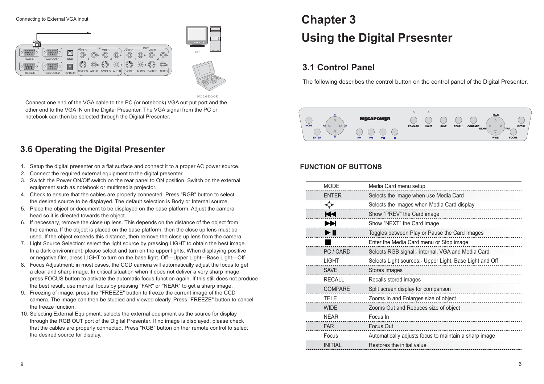

Notebook

Connect one end of the VGA cable to the PC (or notebook) VGA out put port and the other end to the VGA IN on the Digital Presenter. The VGA signal from the PC or notebook can then be selected through the Digital Presenter.

## **3.6 Operating the Digital Presenter**

- 1. Setup the digital presenter on a flat surface and connect it to a proper AC power source.
- 2. Connect the required external equipment to the digital presenter.
- 3. Switch the Power ON/Off switch on the rear panel to ON position. Switch on the external equipment such as notebook or multimedia projector.
- 4. Check to ensure that the cables are properly connected. Press "RGB" button to select the desired source to be displayed. The default selection is Body or Internal source.
- 5. Place the object or document to be displayed on the base platform. Adjust the camera head so it is directed towards the object.
- 6. If necessary, remove the close up lens. This depends on the distance of the object from the camera. If the object is placed on the base platform, then the close up lens must be used. If the object exceeds this distance, then remove the close up lens from the camera.
- 7. Light Source Selection: select the light source by pressing LIGHT to obtain the best image. In a dark environment, please select and turn on the upper lights. When displaying positive or negative film, press LIGHT to turn on the base light. Off---Upper Light---Base Light---Off-
- 8. Focus Adjustment: in most cases, the CCD camera will automatically adjust the focus to get a clear and sharp image. In critical situation when it does not deliver a very sharp image, press FOCUS button to activate the automatic focus function again. If this still does not produce the best result, use manual focus by pressing "FAR" or "NEAR" to get a sharp image.
- 9. Freezing of image: press the "FREEZE" button to freeze the current image of the CCD camera. The image can then be studied and viewed clearly. Press "FREEZE" button to cancel the freeze function.
- 10. Selecting External Equipment: selects the external equipment as the source for display through the RGB OUT port of the Digital Presenter. If no image is displayed, please check that the cables are properly connected. Press "RGB" button on ther remote control to select the desired source for display.

# **Chapter 3 Using the Digital Prsesnter**

# **3.1 Control Panel**

The following describes the control button on the control panel of the Digital Presenter.

 $\circ$  $\sim$  $\bigcap$  $\mathbb{Q}$ **EOOL** 

## **FUNCTION OF BUTTONS**

| <b>MODE</b>    | Media Card menu setup                                   |
|----------------|---------------------------------------------------------|
| <b>ENTER</b>   | Selects the image when use Media Card                   |
| ≎∗             | Selects the images when Media Card display              |
| КV             | Show "PREV" the Card image                              |
| ÞЫ             | Show "NEXT" the Card image                              |
| ÞН             | Toggles between Play or Pause the Card Images           |
|                | Enter the Media Card menu or Stop image                 |
| PC / CARD      | Selects RGB signal:- internal, VGA and Media Card       |
| <b>LIGHT</b>   | Selects Light sources:- Upper Light, Base Light and Off |
| <b>SAVE</b>    | Stores images                                           |
| <b>RECALL</b>  | Recalls stored images                                   |
| <b>COMPARE</b> | Split screen display for comparison                     |
| <b>TELE</b>    | Zooms In and Enlarges size of object                    |
| <b>WIDE</b>    | Zooms Out and Reduces size of object                    |
| <b>NEAR</b>    | Focus In                                                |
| <b>FAR</b>     | Focus Out                                               |
| Focus          | Automatically adjusts focus to maintain a sharp image   |
| <b>INITIAL</b> | Restores the initial value                              |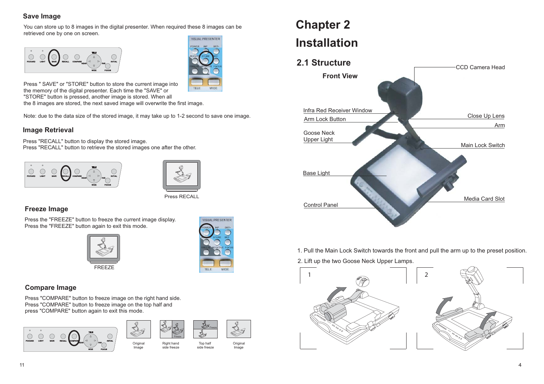## **Save Image**

You can store up to 8 images in the digital presenter. When required these 8 images can be retrieved one by one on screen.





Press " SAVE" or "STORE" button to store the current image into the memory of the digital presenter. Each time the "SAVE" or "STORE" button is pressed, another image is stored. When all the 8 images are stored, the next saved image will overwrite the first image.

Note: due to the data size of the stored image, it may take up to 1-2 second to save one image.

### **Image Retrieval**

Press "RECALL" button to display the stored image. Press "RECALL" button to retrieve the stored images one after the other.





## Press RECALL

### **Freeze Image**

Press the "FREEZE" button to freeze the current image display. Press the "FREEZE" button again to exit this mode.





### **Compare Image**

Press "COMPARE" button to freeze image on the right hand side. Press "COMPARE" button to freeze image on the top half and press "COMPARE" button again to exit this mode.



![](_page_6_Picture_18.jpeg)

side freeze

Image

![](_page_6_Picture_19.jpeg)

 Top half side freeze

![](_page_6_Picture_20.jpeg)

# **Chapter 2 Installation**

## **2.1 Structure**

![](_page_6_Picture_23.jpeg)

1. Pull the Main Lock Switch towards the front and pull the arm up to the preset position.

2. Lift up the two Goose Neck Upper Lamps.

![](_page_6_Picture_26.jpeg)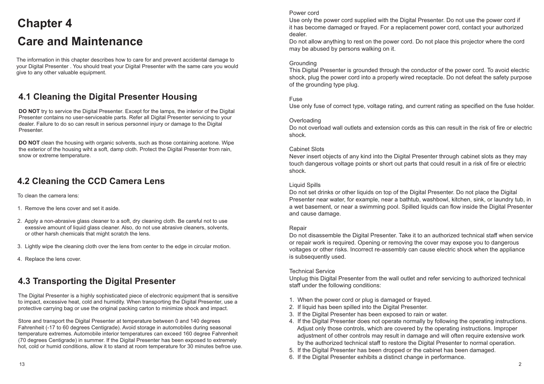# **Chapter 4 Care and Maintenance**

The information in this chapter describes how to care for and prevent accidental damage to your Digital Presenter . You should treat your Digital Presenter with the same care you would give to any other valuable equipment.

# **4.1 Cleaning the Digital Presenter Housing**

**DO NOT** try to service the Digital Presenter. Except for the lamps, the interior of the Digital Presenter contains no user-serviceable parts. Refer all Digital Presenter servicing to your dealer. Failure to do so can result in serious personnel injury or damage to the Digital Presenter.

**DO NOT** clean the housing with organic solvents, such as those containing acetone. Wipe the exterior of the housing wiht a soft, damp cloth. Protect the Digital Presenter from rain, snow or extreme temperature.

## **4.2 Cleaning the CCD Camera Lens**

To clean the camera lens:

- 1. Remove the lens cover and set it aside.
- 2. Apply a non-abrasive glass cleaner to a soft, dry cleaning cloth. Be careful not to use exessive amount of liquid glass cleaner. Also, do not use abrasive cleaners, solvents, or other harsh chemicals that might scratch the lens.
- 3. Lightly wipe the cleaning cloth over the lens from center to the edge in circular motion.
- 4. Replace the lens cover.

## **4.3 Transporting the Digital Presenter**

The Digital Presenter is a highly sophisticated piece of electronic equipment that is sensitive to impact, excessive heat, cold and humidity. When transporting the Digital Presenter, use a protective carrying bag or use the original packing carton to minimize shock and impact.

Store and transport the Digital Presenter at temperature between 0 and 140 degrees Fahrenheit (-17 to 60 degrees Centigrade). Avoid storage in automobiles during seasonal temperature extremes. Automobile interior temperatures can exceed 160 degree Fahrenheit (70 degrees Centigrade) in summer. If the Digital Presenter has been exposed to extremely hot, cold or humid conditions, allow it to stand at room temperature for 30 minutes befroe use.

#### Power cord

Use only the power cord supplied with the Digital Presenter. Do not use the power cord if it has become damaged or frayed. For a replacement power cord, contact your authorized dealer.

Do not allow anything to rest on the power cord. Do not place this projector where the cord may be abused by persons walking on it.

#### **Grounding**

This Digital Presenter is grounded through the conductor of the power cord. To avoid electric shock, plug the power cord into a properly wired receptacle. Do not defeat the safety purpose of the grounding type plug.

#### Fuse

Use only fuse of correct type, voltage rating, and current rating as specified on the fuse holder.

#### **Overloading**

Do not overload wall outlets and extension cords as this can result in the risk of fire or electric shock.

#### Cabinet Slots

Never insert objects of any kind into the Digital Presenter through cabinet slots as they may touch dangerous voltage points or short out parts that could result in a risk of fire or electric shock.

#### Liquid Spills

Do not set drinks or other liquids on top of the Digital Presenter. Do not place the Digital Presenter near water, for example, near a bathtub, washbowl, kitchen, sink, or laundry tub, in a wet basement, or near a swimming pool. Spilled liquids can flow inside the Digital Presenter and cause damage.

#### Repair

Do not disassemble the Digital Presenter. Take it to an authorized technical staff when service or repair work is required. Opening or removing the cover may expose you to dangerous voltages or other risks. Incorrect re-assembly can cause electric shock when the appliance is subsequently used.

#### Technical Service

Unplug this Digital Presenter from the wall outlet and refer servicing to authorized technical staff under the following conditions:

- 1. When the power cord or plug is damaged or frayed.
- 2. If liquid has been spilled into the Digital Presenter.
- 3. If the Digital Presenter has been exposed to rain or water.
- 4. If the Digital Presenter does not operate normally by following the operating instructions. Adjust only those controls, which are covered by the operating instructions. Improper adjustment of other controls may result in damage and will often require extensive work by the authorized technical staff to restore the Digital Presenter to normal operation.
- 5. If the Digital Presenter has been dropped or the cabinet has been damaged.
- 6. If the Digital Presenter exhibits a distinct change in performance.